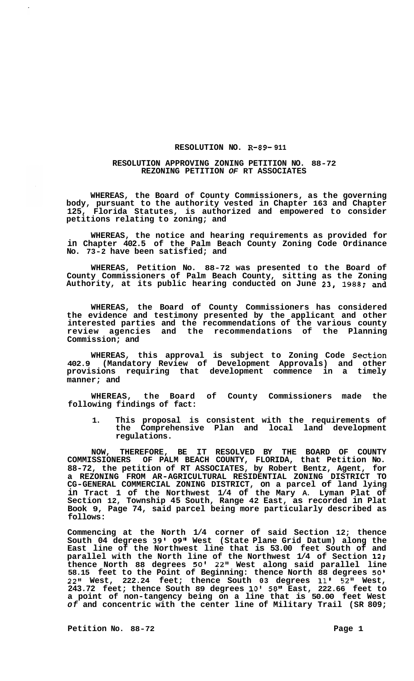## **RESOLUTION NO. R-89- 911**

## **RESOLUTION APPROVING ZONING PETITION NO. 88-72 REZONING PETITION** *OF* **RT ASSOCIATES**

**WHEREAS, the Board of County Commissioners, as the governing body, pursuant to the authority vested in Chapter 163 and Chapter 125, Florida Statutes, is authorized and empowered to consider petitions relating to zoning; and** 

**WHEREAS, the notice and hearing requirements as provided for in Chapter 402.5 of the Palm Beach County Zoning Code Ordinance No. 73-2 have been satisfied; and** 

**WHEREAS, Petition No. 88-72 was presented to the Board of County Commissioners of Palm Beach County, sitting as the Zoning Authority, at its public hearing conducted on June 23, 1988; and** 

**WHEREAS, the Board of County Commissioners has considered the evidence and testimony presented by the applicant and other interested parties and the recommendations of the various county review agencies and the recommendations of the Planning Commission; and** 

**WHEREAS, this approval is subject to Zoning Code Section 402.9 (Mandatory Review of Development Approvals) and other provisions requiring that development commence in a timely manner; and** 

**WHEREAS, the Board of County Commissioners made the following findings of fact:** 

**1. This proposal is consistent with the requirements of the Comprehensive Plan and local land development regulations.** 

**NOW, THEREFORE, BE IT RESOLVED BY THE BOARD OF COUNTY COMMISSIONERS OF PALM BEACH COUNTY, FLORIDA, that Petition No. 88-72, the petition of RT ASSOCIATES, by Robert Bentz, Agent, for a REZONING FROM AR-AGRICULTURAL RESIDENTIAL ZONING DISTRICT TO CG-GENERAL COMMERCIAL ZONING DISTRICT, on a parcel of land lying in Tract 1 of the Northwest 1/4 of the Mary A. Lyman Plat of Section 12, Township 45 South, Range 42 East, as recorded in Plat Book 9, Page 74, said parcel being more particularly described as follows:** 

**Commencing at the North 1/4 corner of said Section 12; thence South 04 degrees 39' 09" West (State Plane Grid Datum) along the East line of the Northwest line that is 53.00 feet South of and parallel with the North line of the Northwest 1/4 of Section 12: thence North 88 degrees 50' 22" West along said parallel line 58.15 feet to the Point of Beginning: thence North 88 degrees 50' 22" West, 222.24 feet; thence South 03 degrees 11' 52" West, 243.72 feet; thence South 89 degrees 10' 58" East, 222.66 feet to a point of non-tangency being on a line that is 50.00 feet West**  *of* **and concentric with the center line of Military Trail (SR 809;**